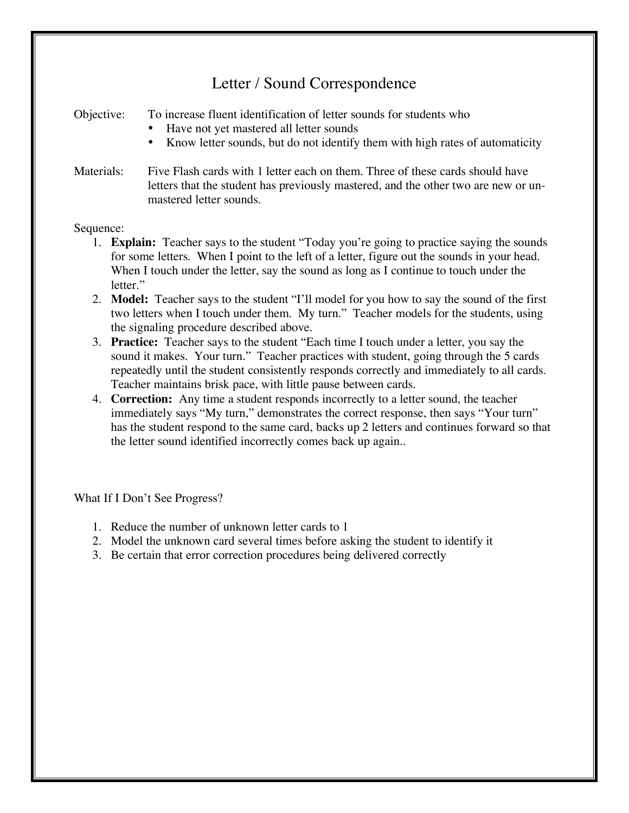## Letter / Sound Correspondence

Objective: To increase fluent identification of letter sounds for students who

- Have not yet mastered all letter sounds
- Know letter sounds, but do not identify them with high rates of automaticity
- Materials: Five Flash cards with 1 letter each on them. Three of these cards should have letters that the student has previously mastered, and the other two are new or unmastered letter sounds.

## Sequence:

- 1. **Explain:** Teacher says to the student "Today you're going to practice saying the sounds for some letters. When I point to the left of a letter, figure out the sounds in your head. When I touch under the letter, say the sound as long as I continue to touch under the letter."
- 2. **Model:** Teacher says to the student "I'll model for you how to say the sound of the first two letters when I touch under them. My turn." Teacher models for the students, using the signaling procedure described above.
- 3. **Practice:** Teacher says to the student "Each time I touch under a letter, you say the sound it makes. Your turn." Teacher practices with student, going through the 5 cards repeatedly until the student consistently responds correctly and immediately to all cards. Teacher maintains brisk pace, with little pause between cards.
- 4. **Correction:** Any time a student responds incorrectly to a letter sound, the teacher immediately says "My turn," demonstrates the correct response, then says "Your turn" has the student respond to the same card, backs up 2 letters and continues forward so that the letter sound identified incorrectly comes back up again..

What If I Don't See Progress?

- 1. Reduce the number of unknown letter cards to 1
- 2. Model the unknown card several times before asking the student to identify it
- 3. Be certain that error correction procedures being delivered correctly